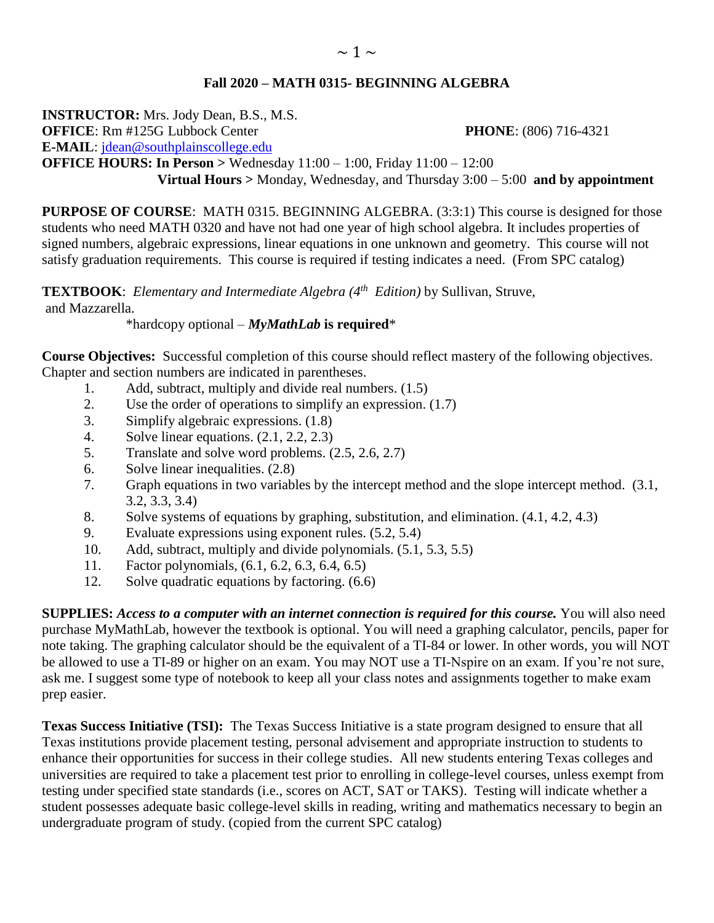## $\sim$  1  $\sim$

## **Fall 2020 – MATH 0315- BEGINNING ALGEBRA**

**INSTRUCTOR:** Mrs. Jody Dean, B.S., M.S. **OFFICE**: Rm #125G Lubbock Center **PHONE**: (806) 716-4321

**E-MAIL**: [jdean@southplainscollege.edu](mailto:jdean@southplainscollege.edu) 

**OFFICE HOURS: In Person >** Wednesday 11:00 – 1:00, Friday 11:00 – 12:00

 **Virtual Hours >** Monday, Wednesday, and Thursday 3:00 – 5:00 **and by appointment**

**PURPOSE OF COURSE**: MATH 0315. BEGINNING ALGEBRA. (3:3:1) This course is designed for those students who need MATH 0320 and have not had one year of high school algebra. It includes properties of signed numbers, algebraic expressions, linear equations in one unknown and geometry. This course will not satisfy graduation requirements. This course is required if testing indicates a need. (From SPC catalog)

**TEXTBOOK**: *Elementary and Intermediate Algebra (4 th Edition)* by Sullivan, Struve, and Mazzarella.

\*hardcopy optional – *MyMathLab* **is required**\*

**Course Objectives:** Successful completion of this course should reflect mastery of the following objectives. Chapter and section numbers are indicated in parentheses.

- 1. Add, subtract, multiply and divide real numbers. (1.5)
- 2. Use the order of operations to simplify an expression. (1.7)
- 3. Simplify algebraic expressions. (1.8)
- 4. Solve linear equations. (2.1, 2.2, 2.3)
- 5. Translate and solve word problems. (2.5, 2.6, 2.7)
- 6. Solve linear inequalities. (2.8)
- 7. Graph equations in two variables by the intercept method and the slope intercept method. (3.1, 3.2, 3.3, 3.4)
- 8. Solve systems of equations by graphing, substitution, and elimination. (4.1, 4.2, 4.3)
- 9. Evaluate expressions using exponent rules. (5.2, 5.4)
- 10. Add, subtract, multiply and divide polynomials. (5.1, 5.3, 5.5)
- 11. Factor polynomials, (6.1, 6.2, 6.3, 6.4, 6.5)
- 12. Solve quadratic equations by factoring. (6.6)

**SUPPLIES:** *Access to a computer with an internet connection is required for this course.* You will also need purchase MyMathLab, however the textbook is optional. You will need a graphing calculator, pencils, paper for note taking. The graphing calculator should be the equivalent of a TI-84 or lower. In other words, you will NOT be allowed to use a TI-89 or higher on an exam. You may NOT use a TI-Nspire on an exam. If you're not sure, ask me. I suggest some type of notebook to keep all your class notes and assignments together to make exam prep easier.

**Texas Success Initiative (TSI):** The Texas Success Initiative is a state program designed to ensure that all Texas institutions provide placement testing, personal advisement and appropriate instruction to students to enhance their opportunities for success in their college studies. All new students entering Texas colleges and universities are required to take a placement test prior to enrolling in college-level courses, unless exempt from testing under specified state standards (i.e., scores on ACT, SAT or TAKS). Testing will indicate whether a student possesses adequate basic college-level skills in reading, writing and mathematics necessary to begin an undergraduate program of study. (copied from the current SPC catalog)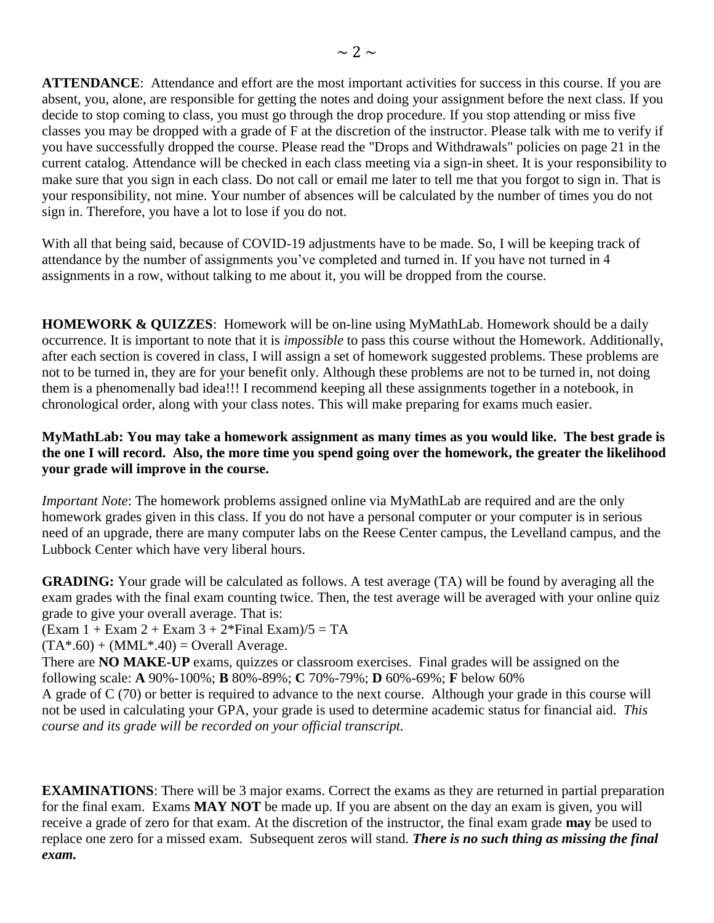**ATTENDANCE**: Attendance and effort are the most important activities for success in this course. If you are absent, you, alone, are responsible for getting the notes and doing your assignment before the next class. If you decide to stop coming to class, you must go through the drop procedure. If you stop attending or miss five classes you may be dropped with a grade of F at the discretion of the instructor. Please talk with me to verify if you have successfully dropped the course. Please read the "Drops and Withdrawals" policies on page 21 in the current catalog. Attendance will be checked in each class meeting via a sign-in sheet. It is your responsibility to make sure that you sign in each class. Do not call or email me later to tell me that you forgot to sign in. That is your responsibility, not mine. Your number of absences will be calculated by the number of times you do not sign in. Therefore, you have a lot to lose if you do not.

With all that being said, because of COVID-19 adjustments have to be made. So, I will be keeping track of attendance by the number of assignments you've completed and turned in. If you have not turned in 4 assignments in a row, without talking to me about it, you will be dropped from the course.

**HOMEWORK & QUIZZES**: Homework will be on-line using MyMathLab. Homework should be a daily occurrence. It is important to note that it is *impossible* to pass this course without the Homework. Additionally, after each section is covered in class, I will assign a set of homework suggested problems. These problems are not to be turned in, they are for your benefit only. Although these problems are not to be turned in, not doing them is a phenomenally bad idea!!! I recommend keeping all these assignments together in a notebook, in chronological order, along with your class notes. This will make preparing for exams much easier.

## **MyMathLab: You may take a homework assignment as many times as you would like. The best grade is the one I will record. Also, the more time you spend going over the homework, the greater the likelihood your grade will improve in the course.**

*Important Note*: The homework problems assigned online via MyMathLab are required and are the only homework grades given in this class. If you do not have a personal computer or your computer is in serious need of an upgrade, there are many computer labs on the Reese Center campus, the Levelland campus, and the Lubbock Center which have very liberal hours.

**GRADING:** Your grade will be calculated as follows. A test average (TA) will be found by averaging all the exam grades with the final exam counting twice. Then, the test average will be averaged with your online quiz grade to give your overall average. That is:

 $(Exam 1 + Exam 2 + Exam 3 + 2*Final Exam)/5 = TA$ 

 $(TA^* . 60) + (MML^* . 40) = Overall Average.$ 

There are **NO MAKE-UP** exams, quizzes or classroom exercises. Final grades will be assigned on the following scale: **A** 90%-100%; **B** 80%-89%; **C** 70%-79%; **D** 60%-69%; **F** below 60%

A grade of C (70) or better is required to advance to the next course. Although your grade in this course will not be used in calculating your GPA, your grade is used to determine academic status for financial aid. *This course and its grade will be recorded on your official transcript.*

**EXAMINATIONS**: There will be 3 major exams. Correct the exams as they are returned in partial preparation for the final exam. Exams **MAY NOT** be made up. If you are absent on the day an exam is given, you will receive a grade of zero for that exam. At the discretion of the instructor, the final exam grade **may** be used to replace one zero for a missed exam. Subsequent zeros will stand. *There is no such thing as missing the final exam.*